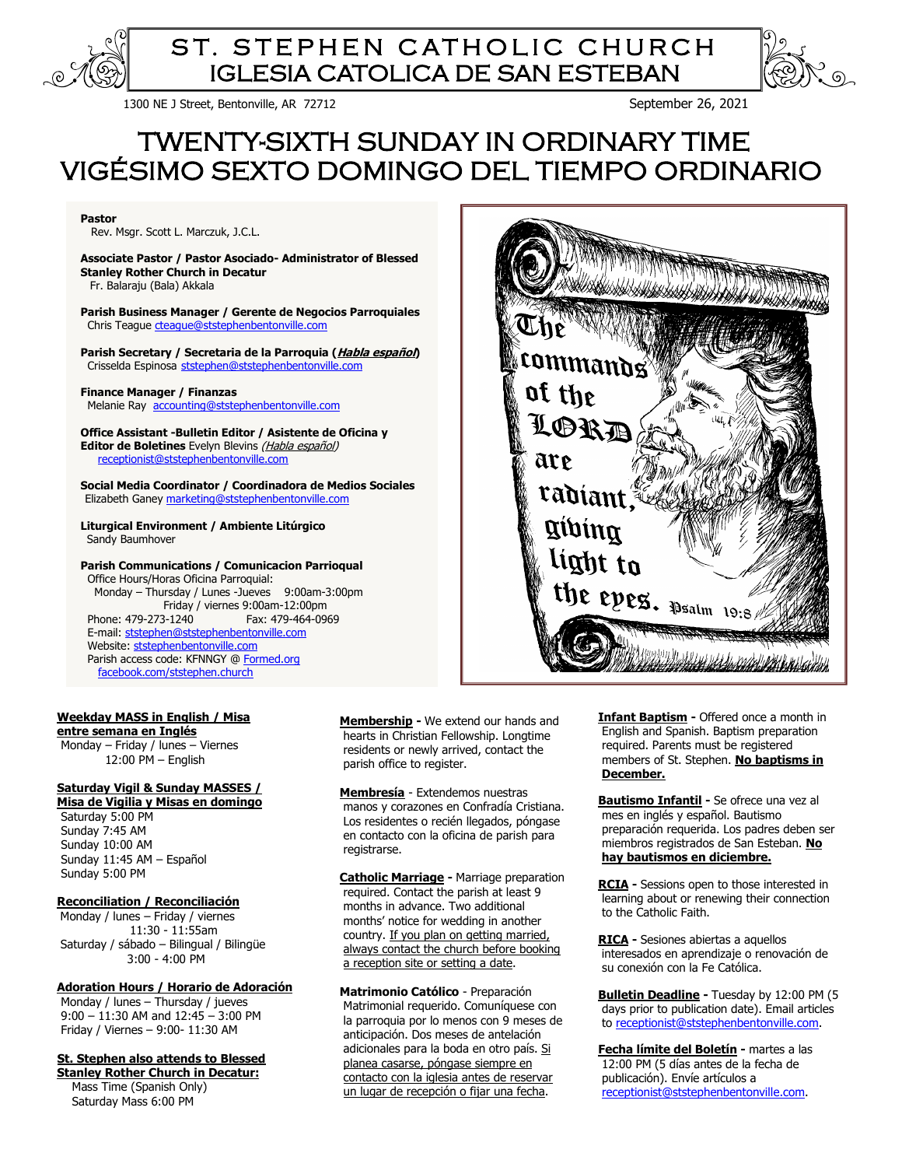

# ST. STEPHEN CATHOLIC CHURCH IGLESIA CATOLICA DE SAN ESTEBAN

1300 NE J Street, Bentonville, AR 72712 September 26, 2021

# TWENTY-SIXTH SUNDAY IN ORDINARY TIME VIGÉSIMO SEXTO DOMINGO DEL TIEMPO ORDINARIO

**Pastor** 

Rev. Msgr. Scott L. Marczuk, J.C.L.

**Associate Pastor / Pastor Asociado- Administrator of Blessed Stanley Rother Church in Decatur** Fr. Balaraju (Bala) Akkala

**Parish Business Manager / Gerente de Negocios Parroquiales** Chris Teague [cteague@ststephenbentonville.com](mailto:cteague@ststephenbentonville.com)

**Parish Secretary / Secretaria de la Parroquia (Habla español)** Crisselda Espinosa [ststephen@ststephenbentonville.com](mailto:ststephen@ststephenbentonville.com)

**Finance Manager / Finanzas**  Melanie Ray [accounting@ststephenbentonville.com](mailto:accounting@ststephenbentonville.com)

**Office Assistant -Bulletin Editor / Asistente de Oficina y**  Editor de Boletines Evelyn Blevins (Habla español) [receptionist@ststephenbentonville.com](mailto:receptionist@ststephenbentonville.com) 

**Social Media Coordinator / Coordinadora de Medios Sociales** Elizabeth Ganey [marketing@ststephenbentonville.com](mailto:marketing@ststephenbentonville.com)

**Liturgical Environment / Ambiente Litúrgico** Sandy Baumhover

**Parish Communications / Comunicacion Parrioqual** Office Hours/Horas Oficina Parroquial: Monday – Thursday / Lunes -Jueves 9:00am-3:00pm Friday / viernes 9:00am-12:00pm Phone: 479-273-1240 Fax: 479-464-0969 E-mail: [ststephen@ststephenbentonville.com](mailto:ststephen@ststephenbentonville.com)  Website: ststephenbentonville.com Parish access code: KFNNGY [@ Formed.org](http://www.formed.org/) [facebook.com/ststephen.church](http://www.facebook.com/ststephen.church)

#### **Weekday MASS in English / Misa entre semana en Inglés**

 Monday – Friday / lunes – Viernes 12:00 PM – English

## **Saturday Vigil & Sunday MASSES /**

**Misa de Vigilia y Misas en domingo** Saturday 5:00 PM

 Sunday 7:45 AM Sunday 10:00 AM Sunday 11:45 AM – Español Sunday 5:00 PM

#### **Reconciliation / Reconciliación**

Monday / lunes – Friday / viernes 11:30 - 11:55am Saturday / sábado – Bilingual / Bilingüe 3:00 - 4:00 PM

**Adoration Hours / Horario de Adoración**

 Monday / lunes – Thursday / jueves 9:00 – 11:30 AM and 12:45 – 3:00 PM Friday / Viernes – 9:00- 11:30 AM

**St. Stephen also attends to Blessed** 

**Stanley Rother Church in Decatur:** Mass Time (Spanish Only) Saturday Mass 6:00 PM

 **Membership -** We extend our hands and hearts in Christian Fellowship. Longtime residents or newly arrived, contact the parish office to register.

**Membresía** - Extendemos nuestras manos y corazones en Confradía Cristiana. Los residentes o recién llegados, póngase en contacto con la oficina de parish para registrarse.

**Catholic Marriage -** Marriage preparation required. Contact the parish at least 9 months in advance. Two additional months' notice for wedding in another country. If you plan on getting married, always contact the church before booking a reception site or setting a date.

**Matrimonio Católico** - Preparación Matrimonial requerido. Comuníquese con la parroquia por lo menos con 9 meses de anticipación. Dos meses de antelación adicionales para la boda en otro país. Si planea casarse, póngase siempre en contacto con la iglesia antes de reservar un lugar de recepción o fijar una fecha.

**Infant Baptism -** Offered once a month in English and Spanish. Baptism preparation required. Parents must be registered members of St. Stephen. **No baptisms in December.**

**Bautismo Infantil -** Se ofrece una vez al mes en inglés y español. Bautismo preparación requerida. Los padres deben ser miembros registrados de San Esteban. **No hay bautismos en diciembre.**

**RCIA -** Sessions open to those interested in learning about or renewing their connection to the Catholic Faith.

**RICA -** Sesiones abiertas a aquellos interesados en aprendizaje o renovación de su conexión con la Fe Católica.

**Bulletin Deadline -** Tuesday by 12:00 PM (5 days prior to publication date). Email articles to [receptionist@ststephenbentonville.com.](mailto:receptionist@ststephenbentonville.com)

**Fecha límite del Boletín -** martes a las 12:00 PM (5 días antes de la fecha de publicación). Envíe artículos a [receptionist@ststephenbentonville.com.](mailto:receptionist@ststephenbentonville.com) 

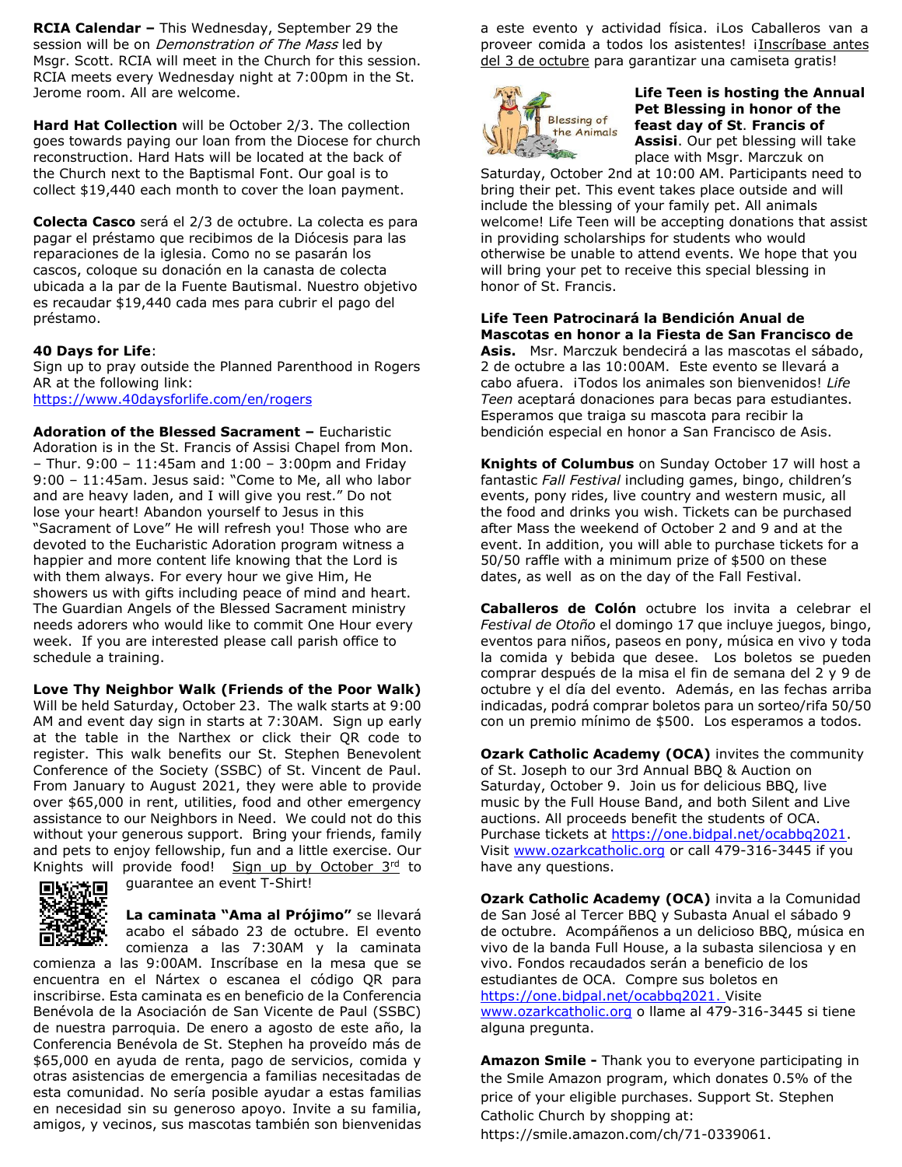**RCIA Calendar –** This Wednesday, September 29 the session will be on *Demonstration of The Mass* led by Msgr. Scott. RCIA will meet in the Church for this session. RCIA meets every Wednesday night at 7:00pm in the St. Jerome room. All are welcome.

**Hard Hat Collection** will be October 2/3. The collection goes towards paying our loan from the Diocese for church reconstruction. Hard Hats will be located at the back of the Church next to the Baptismal Font. Our goal is to collect \$19,440 each month to cover the loan payment.

**Colecta Casco** será el 2/3 de octubre. La colecta es para pagar el préstamo que recibimos de la Diócesis para las reparaciones de la iglesia. Como no se pasarán los cascos, coloque su donación en la canasta de colecta ubicada a la par de la Fuente Bautismal. Nuestro objetivo es recaudar \$19,440 cada mes para cubrir el pago del préstamo.

# **40 Days for Life**:

Sign up to pray outside the Planned Parenthood in Rogers AR at the following link: <https://www.40daysforlife.com/en/rogers>

**Adoration of the Blessed Sacrament –** Eucharistic Adoration is in the St. Francis of Assisi Chapel from Mon. – Thur. 9:00 – 11:45am and 1:00 – 3:00pm and Friday 9:00 – 11:45am. Jesus said: "Come to Me, all who labor and are heavy laden, and I will give you rest." Do not lose your heart! Abandon yourself to Jesus in this "Sacrament of Love" He will refresh you! Those who are devoted to the Eucharistic Adoration program witness a happier and more content life knowing that the Lord is with them always. For every hour we give Him, He showers us with gifts including peace of mind and heart. The Guardian Angels of the Blessed Sacrament ministry needs adorers who would like to commit One Hour every week. If you are interested please call parish office to schedule a training.

## **Love Thy Neighbor Walk (Friends of the Poor Walk)**

Will be held Saturday, October 23. The walk starts at 9:00 AM and event day sign in starts at 7:30AM. Sign up early at the table in the Narthex or click their QR code to register. This walk benefits our St. Stephen Benevolent Conference of the Society (SSBC) of St. Vincent de Paul. From January to August 2021, they were able to provide over \$65,000 in rent, utilities, food and other emergency assistance to our Neighbors in Need. We could not do this without your generous support. Bring your friends, family and pets to enjoy fellowship, fun and a little exercise. Our Knights will provide food! Sign up by October 3rd to guarantee an event T-Shirt!



**La caminata "Ama al Prójimo"** se llevará acabo el sábado 23 de octubre. El evento comienza a las 7:30AM y la caminata

comienza a las 9:00AM. Inscríbase en la mesa que se encuentra en el Nártex o escanea el código QR para inscribirse. Esta caminata es en beneficio de la Conferencia Benévola de la Asociación de San Vicente de Paul (SSBC) de nuestra parroquia. De enero a agosto de este año, la Conferencia Benévola de St. Stephen ha proveído más de \$65,000 en ayuda de renta, pago de servicios, comida y otras asistencias de emergencia a familias necesitadas de esta comunidad. No sería posible ayudar a estas familias en necesidad sin su generoso apoyo. Invite a su familia, amigos, y vecinos, sus mascotas también son bienvenidas

a este evento y actividad física. iLos Caballeros van a proveer comida a todos los asistentes! ¡Inscríbase antes del 3 de octubre para garantizar una camiseta gratis!



# **Life Teen is hosting the Annual Pet Blessing in honor of the feast day of St**. **Francis of Assisi**. Our pet blessing will take place with Msgr. Marczuk on

Saturday, October 2nd at 10:00 AM. Participants need to bring their pet. This event takes place outside and will include the blessing of your family pet. All animals welcome! Life Teen will be accepting donations that assist in providing scholarships for students who would otherwise be unable to attend events. We hope that you will bring your pet to receive this special blessing in honor of St. Francis.

**Life Teen Patrocinará la Bendición Anual de Mascotas en honor a la Fiesta de San Francisco de Asis.** Msr. Marczuk bendecirá a las mascotas el sábado, 2 de octubre a las 10:00AM. Este evento se llevará a cabo afuera. ¡Todos los animales son bienvenidos! *Life Teen* aceptará donaciones para becas para estudiantes. Esperamos que traiga su mascota para recibir la bendición especial en honor a San Francisco de Asis.

**Knights of Columbus** on Sunday October 17 will host a fantastic *Fall Festival* including games, bingo, children's events, pony rides, live country and western music, all the food and drinks you wish. Tickets can be purchased after Mass the weekend of October 2 and 9 and at the event. In addition, you will able to purchase tickets for a 50/50 raffle with a minimum prize of \$500 on these dates, as well as on the day of the Fall Festival.

**Caballeros de Colón** octubre los invita a celebrar el *Festival de Otoño* el domingo 17 que incluye juegos, bingo, eventos para niños, paseos en pony, música en vivo y toda la comida y bebida que desee. Los boletos se pueden comprar después de la misa el fin de semana del 2 y 9 de octubre y el día del evento. Además, en las fechas arriba indicadas, podrá comprar boletos para un sorteo/rifa 50/50 con un premio mínimo de \$500. Los esperamos a todos.

**Ozark Catholic Academy (OCA)** invites the community of St. Joseph to our 3rd Annual BBQ & Auction on Saturday, October 9. Join us for delicious BBQ, live music by the Full House Band, and both Silent and Live auctions. All proceeds benefit the students of OCA. Purchase tickets at [https://one.bidpal.net/ocabbq2021.](https://one.bidpal.net/ocabbq2021) Visit [www.ozarkcatholic.org](http://www.ozarkcatholic.org/) or call 479-316-3445 if you have any questions.

**Ozark Catholic Academy (OCA)** invita a la Comunidad de San José al Tercer BBQ y Subasta Anual el sábado 9 de octubre. Acompáñenos a un delicioso BBQ, música en vivo de la banda Full House, a la subasta silenciosa y en vivo. Fondos recaudados serán a beneficio de los estudiantes de OCA. Compre sus boletos en [https://one.bidpal.net/ocabbq2021.](https://one.bidpal.net/ocabbq2021) Visite [www.ozarkcatholic.org](http://www.ozarkcatholic.org/) o llame al 479-316-3445 si tiene alguna pregunta.

**Amazon Smile -** Thank you to everyone participating in the Smile Amazon program, which donates 0.5% of the price of your eligible purchases. Support St. Stephen Catholic Church by shopping at: https://smile.amazon.com/ch/71-0339061.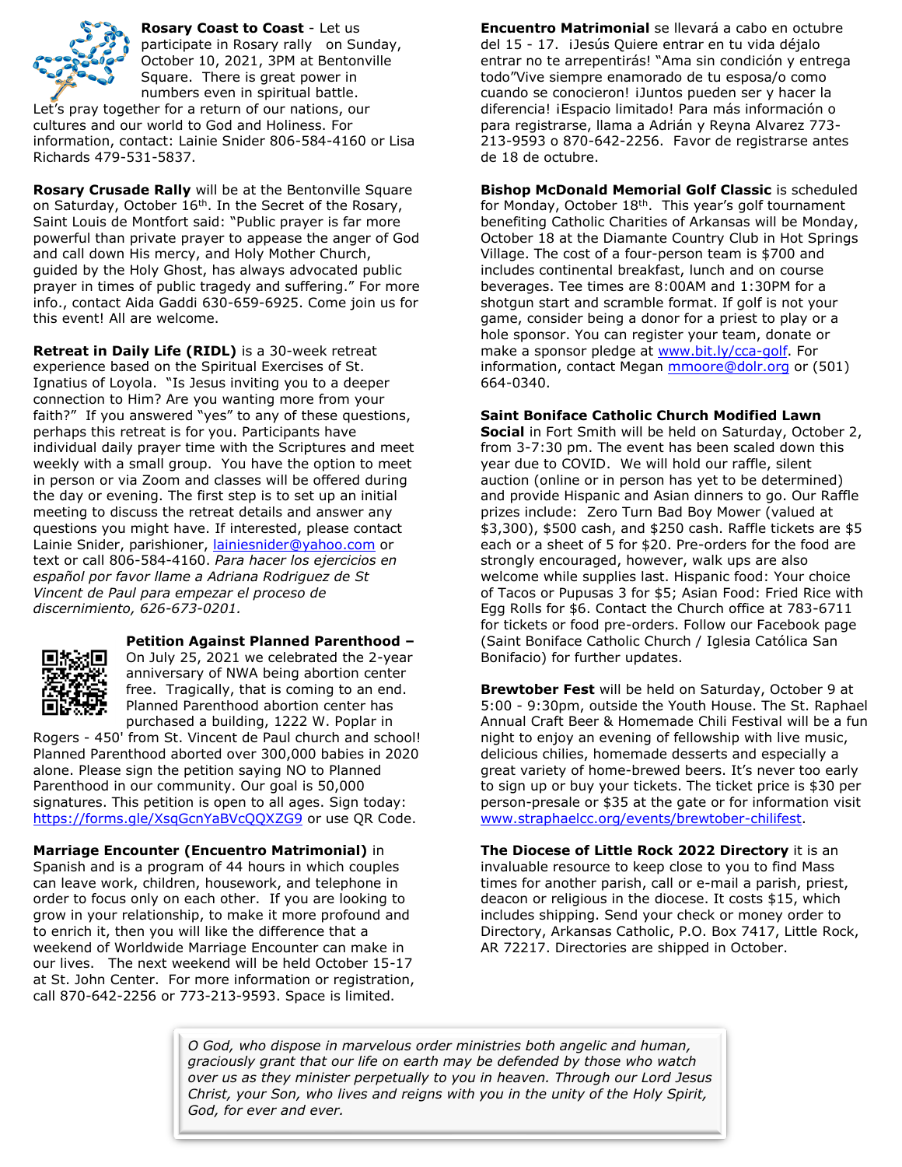

**Rosary Coast to Coast** - Let us participate in Rosary rally on Sunday, October 10, 2021, 3PM at Bentonville Square. There is great power in numbers even in spiritual battle. Let's pray together for a return of our nations, our

cultures and our world to God and Holiness. For information, contact: Lainie Snider 806-584-4160 or Lisa Richards 479-531-5837.

**Rosary Crusade Rally** will be at the Bentonville Square on Saturday, October 16<sup>th</sup>. In the Secret of the Rosary, Saint Louis de Montfort said: "Public prayer is far more powerful than private prayer to appease the anger of God and call down His mercy, and Holy Mother Church, guided by the Holy Ghost, has always advocated public prayer in times of public tragedy and suffering." For more info., contact Aida Gaddi 630-659-6925. Come join us for this event! All are welcome.

**Retreat in Daily Life (RIDL)** is a 30-week retreat experience based on the Spiritual Exercises of St. Ignatius of Loyola. "Is Jesus inviting you to a deeper connection to Him? Are you wanting more from your faith?" If you answered "yes" to any of these questions, perhaps this retreat is for you. Participants have individual daily prayer time with the Scriptures and meet weekly with a small group. You have the option to meet in person or via Zoom and classes will be offered during the day or evening. The first step is to set up an initial meeting to discuss the retreat details and answer any questions you might have. If interested, please contact Lainie Snider, parishioner, [lainiesnider@yahoo.com](mailto:lainiesnider@yahoo.com) or text or call 806-584-4160. *Para hacer los ejercicios en español por favor llame a Adriana Rodriguez de St Vincent de Paul para empezar el proceso de discernimiento, 626-673-0201.*



**Petition Against Planned Parenthood –** On July 25, 2021 we celebrated the 2-year anniversary of NWA being abortion center free. Tragically, that is coming to an end. Planned Parenthood abortion center has purchased a building, 1222 W. Poplar in

Rogers - 450' from St. Vincent de Paul church and school! Planned Parenthood aborted over 300,000 babies in 2020 alone. Please sign the petition saying NO to Planned Parenthood in our community. Our goal is 50,000 signatures. This petition is open to all ages. Sign today: <https://forms.gle/XsqGcnYaBVcQQXZG9> or use QR Code.

**Marriage Encounter (Encuentro Matrimonial)** in Spanish and is a program of 44 hours in which couples can leave work, children, housework, and telephone in order to focus only on each other. If you are looking to grow in your relationship, to make it more profound and to enrich it, then you will like the difference that a weekend of Worldwide Marriage Encounter can make in our lives. The next weekend will be held October 15-17 at St. John Center. For more information or registration, call 870-642-2256 or 773-213-9593. Space is limited.

**Encuentro Matrimonial** se llevará a cabo en octubre del 15 - 17. ¡Jesús Quiere entrar en tu vida déjalo entrar no te arrepentirás! "Ama sin condición y entrega todo"Vive siempre enamorado de tu esposa/o como cuando se conocieron! ¡Juntos pueden ser y hacer la diferencia! ¡Espacio limitado! Para más información o para registrarse, llama a Adrián y Reyna Alvarez 773- 213-9593 o 870-642-2256. Favor de registrarse antes de 18 de octubre.

**Bishop McDonald Memorial Golf Classic** is scheduled for Monday, October  $18<sup>th</sup>$ . This year's golf tournament benefiting Catholic Charities of Arkansas will be Monday, October 18 at the Diamante Country Club in Hot Springs Village. The cost of a four-person team is \$700 and includes continental breakfast, lunch and on course beverages. Tee times are 8:00AM and 1:30PM for a shotgun start and scramble format. If golf is not your game, consider being a donor for a priest to play or a hole sponsor. You can register your team, donate or make a sponsor pledge at [www.bit.ly/cca-golf.](http://www.bit.ly/cca-golf) For information, contact Megan [mmoore@dolr.org](mailto:mmoore@dolr.org) or (501) 664-0340.

# **Saint Boniface Catholic Church Modified Lawn**

**Social** in Fort Smith will be held on Saturday, October 2, from 3-7:30 pm. The event has been scaled down this year due to COVID. We will hold our raffle, silent auction (online or in person has yet to be determined) and provide Hispanic and Asian dinners to go. Our Raffle prizes include: Zero Turn Bad Boy Mower (valued at \$3,300), \$500 cash, and \$250 cash. Raffle tickets are \$5 each or a sheet of 5 for \$20. Pre-orders for the food are strongly encouraged, however, walk ups are also welcome while supplies last. Hispanic food: Your choice of Tacos or Pupusas 3 for \$5; Asian Food: Fried Rice with Egg Rolls for \$6. Contact the Church office at 783-6711 for tickets or food pre-orders. Follow our Facebook page (Saint Boniface Catholic Church / Iglesia Católica San Bonifacio) for further updates.

**Brewtober Fest** will be held on Saturday, October 9 at 5:00 - 9:30pm, outside the Youth House. The St. Raphael Annual Craft Beer & Homemade Chili Festival will be a fun night to enjoy an evening of fellowship with live music, delicious chilies, homemade desserts and especially a great variety of home-brewed beers. It's never too early to sign up or buy your tickets. The ticket price is \$30 per person-presale or \$35 at the gate or for information visit [www.straphaelcc.org/events/brewtober-chilifest.](http://www.straphaelcc.org/events/brewtober-chilifest)

**The Diocese of Little Rock 2022 Directory** it is an invaluable resource to keep close to you to find Mass times for another parish, call or e-mail a parish, priest, deacon or religious in the diocese. It costs \$15, which includes shipping. Send your check or money order to Directory, Arkansas Catholic, P.O. Box 7417, Little Rock, AR 72217. Directories are shipped in October.

*O God, who dispose in marvelous order ministries both angelic and human, graciously grant that our life on earth may be defended by those who watch over us as they minister perpetually to you in heaven. Through our Lord Jesus Christ, your Son, who lives and reigns with you in the unity of the Holy Spirit, God, for ever and ever.*